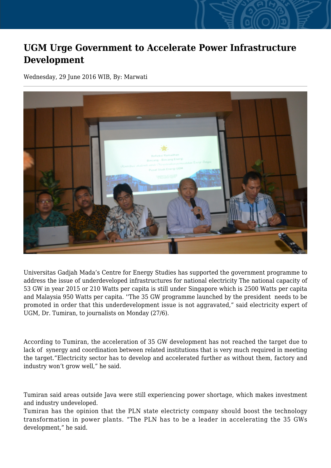## **UGM Urge Government to Accelerate Power Infrastructure Development**

Wednesday, 29 June 2016 WIB, By: Marwati



Universitas Gadjah Mada's Centre for Energy Studies has supported the government programme to address the issue of underdeveloped infrastructures for national electricity The national capacity of 53 GW in year 2015 or 210 Watts per capita is still under Singapore which is 2500 Watts per capita and Malaysia 950 Watts per capita. ''The 35 GW programme launched by the president needs to be promoted in order that this underdevelopment issue is not aggravated," said electricity expert of UGM, Dr. Tumiran, to journalists on Monday (27/6).

According to Tumiran, the acceleration of 35 GW development has not reached the target due to lack of synergy and coordination between related institutions that is very much required in meeting the target."Electricity sector has to develop and accelerated further as without them, factory and industry won't grow well," he said.

Tumiran said areas outside Java were still experiencing power shortage, which makes investment and industry undeveloped.

Tumiran has the opinion that the PLN state electricty company should boost the technology transformation in power plants. "The PLN has to be a leader in accelerating the 35 GWs development," he said.